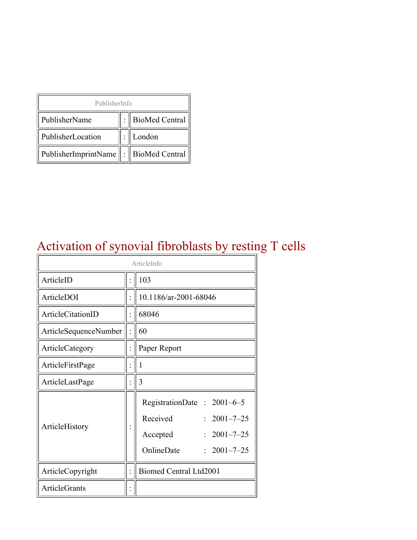| PublisherInfo                         |  |                    |  |  |
|---------------------------------------|--|--------------------|--|--|
| PublisherName                         |  | :   BioMed Central |  |  |
| PublisherLocation                     |  | London             |  |  |
| PublisherImprintName : BioMed Central |  |                    |  |  |

#### Activation of synovial fibroblasts by resting T cells

| ArticleInfo           |  |                                                                                                                                 |  |
|-----------------------|--|---------------------------------------------------------------------------------------------------------------------------------|--|
| ArticleID             |  | 103                                                                                                                             |  |
| ArticleDOI            |  | 10.1186/ar-2001-68046                                                                                                           |  |
| ArticleCitationID     |  | 68046                                                                                                                           |  |
| ArticleSequenceNumber |  | 60                                                                                                                              |  |
| ArticleCategory       |  | Paper Report                                                                                                                    |  |
| ArticleFirstPage      |  | 1                                                                                                                               |  |
| ArticleLastPage       |  | 3                                                                                                                               |  |
| ArticleHistory        |  | RegistrationDate: $2001-6-5$<br>Received<br>$: 2001 - 7 - 25$<br>$2001 - 7 - 25$<br>Accepted<br>OnlineDate<br>$: 2001 - 7 - 25$ |  |
| ArticleCopyright      |  | <b>Biomed Central Ltd2001</b>                                                                                                   |  |
| <b>ArticleGrants</b>  |  |                                                                                                                                 |  |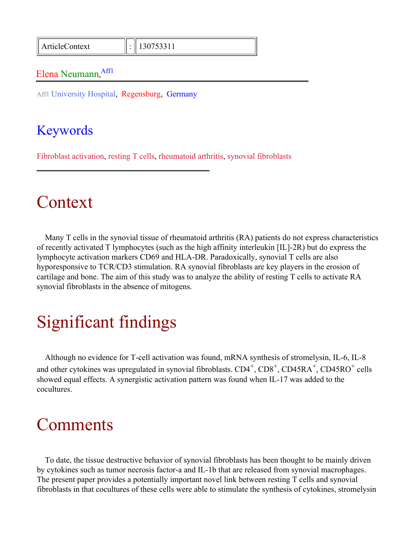ArticleContext : 130753311

#### Elena Neumann, Aff1

Aff1 University Hospital, Regensburg, Germany

#### Keywords

Fibroblast activation, resting T cells, rheumatoid arthritis, synovial fibroblasts

### Context

Many T cells in the synovial tissue of rheumatoid arthritis (RA) patients do not express characteristics of recently activated T lymphocytes (such as the high affinity interleukin [IL]-2R) but do express the lymphocyte activation markers CD69 and HLA-DR. Paradoxically, synovial T cells are also hyporesponsive to TCR/CD3 stimulation. RA synovial fibroblasts are key players in the erosion of cartilage and bone. The aim of this study was to analyze the ability of resting T cells to activate RA synovial fibroblasts in the absence of mitogens.

## Significant findings

Although no evidence for T-cell activation was found, mRNA synthesis of stromelysin, IL-6, IL-8 and other cytokines was upregulated in synovial fibroblasts.  $CD4^+$ ,  $CD8^+$ ,  $CD45RA^+$ ,  $CD45RO^+$  cells showed equal effects. A synergistic activation pattern was found when IL-17 was added to the cocultures.

### **Comments**

To date, the tissue destructive behavior of synovial fibroblasts has been thought to be mainly driven by cytokines such as tumor necrosis factor-a and IL-1b that are released from synovial macrophages. The present paper provides a potentially important novel link between resting T cells and synovial fibroblasts in that cocultures of these cells were able to stimulate the synthesis of cytokines, stromelysin